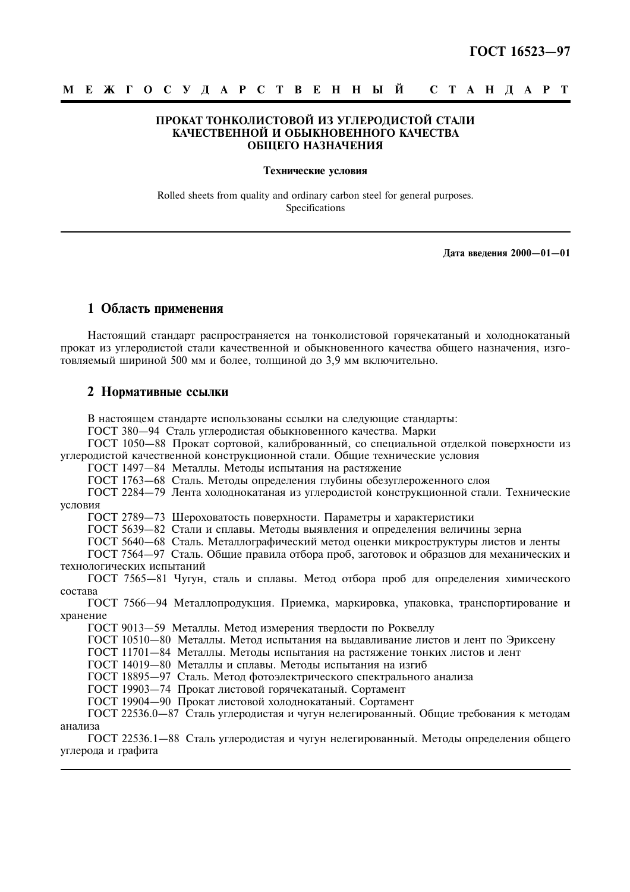#### M E **X T O C Y J A P C T B E H H Ы Й**  $C$   $T$   $A$   $H$   $I$   $A$   $P$   $T$

### ПРОКАТ ТОНКОЛИСТОВОЙ ИЗ УГЛЕРОДИСТОЙ СТАЛИ КАЧЕСТВЕННОЙ И ОБЫКНОВЕННОГО КАЧЕСТВА ОБЩЕГО НАЗНАЧЕНИЯ

### Технические условия

Rolled sheets from quality and ordinary carbon steel for general purposes. Specifications

### Лата ввеления 2000-01-01

# 1 Область применения

Настоящий стандарт распространяется на тонколистовой горячекатаный и холоднокатаный прокат из углеродистой стали качественной и обыкновенного качества общего назначения, изготовляемый шириной 500 мм и более, толщиной до 3,9 мм включительно.

# 2 Нормативные ссылки

В настоящем стандарте использованы ссылки на следующие стандарты:

ГОСТ 380-94 Сталь углеродистая обыкновенного качества. Марки

ГОСТ 1050-88 Прокат сортовой, калиброванный, со специальной отделкой поверхности из углеродистой качественной конструкционной стали. Общие технические условия

ГОСТ 1497-84 Металлы. Методы испытания на растяжение

ГОСТ 1763-68 Сталь. Методы определения глубины обезуглероженного слоя

ГОСТ 2284-79 Лента холоднокатаная из углеродистой конструкционной стали. Технические условия

ГОСТ 2789-73 Шероховатость поверхности. Параметры и характеристики

ГОСТ 5639—82. Стали и сплавы. Метолы выявления и опрелеления величины зерна

ГОСТ 5640-68 Сталь. Металлографический метод оценки микроструктуры листов и ленты

ГОСТ 7564—97 Сталь. Общие правила отбора проб. заготовок и образнов для механических и технологических испытаний

ГОСТ 7565-81 Чугун, сталь и сплавы. Метод отбора проб для определения химического состава

ГОСТ 7566-94 Металлопродукция. Приемка, маркировка, упаковка, транспортирование и хранение

ГОСТ 9013-59 Металлы. Метод измерения твердости по Роквеллу

ГОСТ 10510-80 Металлы. Метод испытания на выдавливание листов и лент по Эриксену

ГОСТ 11701-84 Металлы. Методы испытания на растяжение тонких листов и лент

ГОСТ 14019-80 Металлы и сплавы. Методы испытания на изгиб

ГОСТ 18895-97 Сталь. Метод фотоэлектрического спектрального анализа

ГОСТ 19903-74 Прокат листовой горячекатаный. Сортамент

ГОСТ 19904-90 Прокат листовой холоднокатаный. Сортамент

ГОСТ 22536.0-87 Сталь углеродистая и чугун нелегированный. Общие требования к методам анализа

ГОСТ 22536.1-88 Сталь углеродистая и чугун нелегированный. Методы определения общего углерода и графита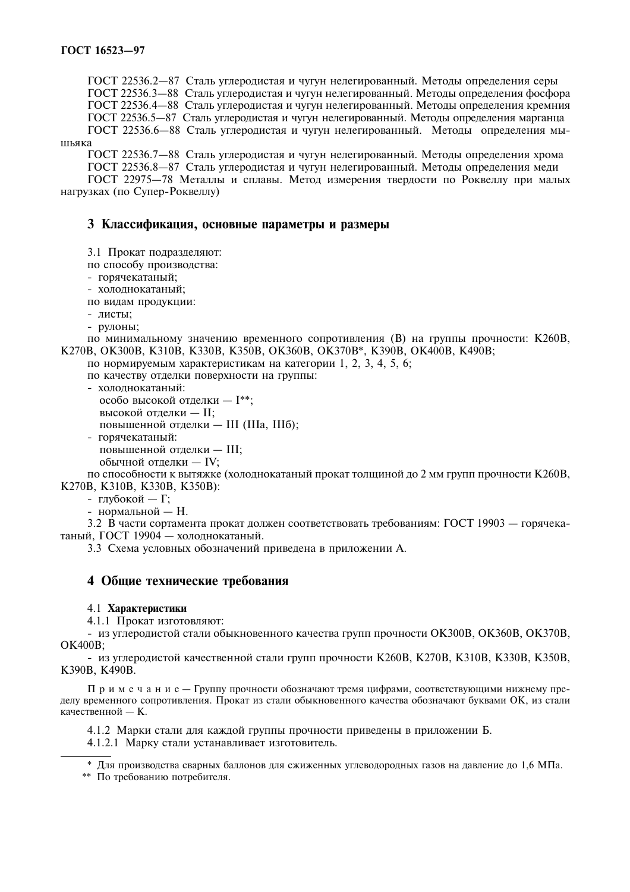ГОСТ 22536.2-87 Сталь углеродистая и чугун нелегированный. Методы определения серы ГОСТ 22536.3-88 Сталь углеродистая и чугун нелегированный. Методы определения фосфора ГОСТ 22536.4-88 Сталь углеродистая и чугун нелегированный. Методы определения кремния ГОСТ 22536.5-87 Сталь углеродистая и чугун нелегированный. Методы определения марганца ГОСТ 22536.6—88 Сталь углеродистая и чугун нелегированный. Методы определения мы-

ШЬЯКА

ГОСТ 22536.7-88 Сталь углеродистая и чугун нелегированный. Методы определения хрома ГОСТ 22536.8-87 Сталь углеродистая и чугун нелегированный. Методы определения меди ГОСТ 22975-78 Металлы и сплавы. Метод измерения твердости по Роквеллу при малых нагрузках (по Супер-Роквеллу)

# 3 Классификация, основные параметры и размеры

3.1 Прокат подразделяют:

по способу произволства:

- горячекатаный:

- холоднокатаный;

по видам продукции:

- листы;

- рулоны;

по минимальному значению временного сопротивления (В) на группы прочности: К260В, K270B, OK300B, K310B, K330B, K350B, OK360B, OK370B\*, K390B, OK400B, K490B;

по нормируемым характеристикам на категории 1, 2, 3, 4, 5, 6;

по качеству отделки поверхности на группы:

- холоднокатаный: особо высокой отделки - I\*\*; высокой отделки - II;
	- повышенной отделки III (IIIa, III6);
- горячекатаный: повышенной отделки - III;

обычной отделки - IV:

по способности к вытяжке (холоднокатаный прокат толщиной до 2 мм групп прочности К260В, K270B, K310B, K330B, K350B):

- глубокой —  $\Gamma$ ;

- нормальной - Н.

3.2 В части сортамента прокат должен соответствовать требованиям: ГОСТ 19903 — горячекатаный, ГОСТ 19904 - холоднокатаный.

3.3 Схема условных обозначений приведена в приложении А.

# 4 Общие технические требования

### 4.1 Характеристики

4.1.1 Прокат изготовляют:

- из углеродистой стали обыкновенного качества групп прочности ОК300В, ОК360В, ОК370В, **OK400B:** 

- из углеродистой качественной стали групп прочности К260В, К270В, К310В, К330В, К350В, K390B. K490B.

П р и м е ч а н и е - Группу прочности обозначают тремя цифрами, соответствующими нижнему пределу временного сопротивления. Прокат из стали обыкновенного качества обозначают буквами ОК, из стали качественной  $-$  K.

4.1.2 Марки стали для каждой группы прочности приведены в приложении Б.

4.1.2.1 Марку стали устанавливает изготовитель.

\* Для производства сварных баллонов для сжиженных углеводородных газов на давление до 1,6 МПа.

\*\* По требованию потребителя.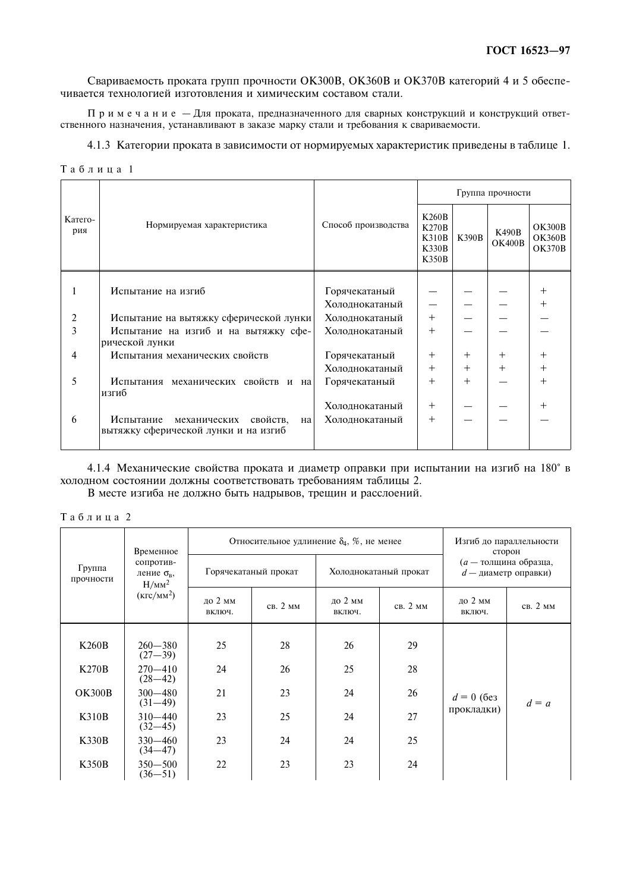Свариваемость проката групп прочности ОК300В, ОК360В и ОК370В категорий 4 и 5 обеспечивается технологией изготовления и химическим составом стали.

Примечание - Для проката, предназначенного для сварных конструкций и конструкций ответственного назначения, устанавливают в заказе марку стали и требования к свариваемости.

# 4.1.3 Категории проката в зависимости от нормируемых характеристик приведены в таблице 1.

|  |  |  | Таблица 1 |
|--|--|--|-----------|
|  |  |  |           |

|                |                                                                                     |                                 | Группа прочности                                                      |              |                               |                                                 |
|----------------|-------------------------------------------------------------------------------------|---------------------------------|-----------------------------------------------------------------------|--------------|-------------------------------|-------------------------------------------------|
| Катего-<br>рия | Нормируемая характеристика                                                          | Способ производства             | K260B<br><b>K270B</b><br><b>K310B</b><br><b>K330B</b><br><b>K350B</b> | <b>K390B</b> | <b>K490B</b><br><b>OK400B</b> | <b>OK300B</b><br><b>OK360B</b><br><b>OK370B</b> |
|                | Испытание на изгиб                                                                  |                                 |                                                                       |              |                               |                                                 |
|                |                                                                                     | Горячекатаный<br>Холоднокатаный |                                                                       |              |                               |                                                 |
| 2              |                                                                                     | Холоднокатаный                  | $^{+}$                                                                |              |                               |                                                 |
| 3              | Испытание на вытяжку сферической лунки                                              |                                 |                                                                       |              |                               |                                                 |
|                | Испытание на изгиб и на вытяжку сфе-<br>рической лунки                              | Холоднокатаный                  | $\mathrm{+}$                                                          |              |                               |                                                 |
| 4              | Испытания механических свойств                                                      | Горячекатаный                   | $\overline{+}$                                                        | $^{+}$       | $^{+}$                        |                                                 |
|                |                                                                                     | Холоднокатаный                  | $^{+}$                                                                | $+$          | $^{+}$                        |                                                 |
| 5              | Испытания механических свойств и на<br>изгиб                                        | Горячекатаный                   | $^{+}$                                                                | $^{+}$       |                               |                                                 |
|                |                                                                                     | Холоднокатаный                  | $^{+}$                                                                |              |                               |                                                 |
| 6              | Испытание<br>свойств,<br>механических<br>на<br>вытяжку сферической лунки и на изгиб | Холоднокатаный                  | $^{+}$                                                                |              |                               |                                                 |

4.1.4 Механические свойства проката и диаметр оправки при испытании на изгиб на 180° в холодном состоянии должны соответствовать требованиям таблицы 2.

В месте изгиба не должно быть надрывов, трещин и расслоений.

Таблица 2

|                                                                          | Временное                  | Относительное удлинение $\delta_4$ , %, не менее |          |                       |          | Изгиб до параллельности<br>сторон<br>( <i>а</i> — толщина образца,<br>$d$ — диаметр оправки) |          |
|--------------------------------------------------------------------------|----------------------------|--------------------------------------------------|----------|-----------------------|----------|----------------------------------------------------------------------------------------------|----------|
| сопротив-<br>Группа<br>ление $\sigma_{\rm B}$ ,<br>прочности<br>$H/MM^2$ |                            | Горячекатаный прокат                             |          | Холоднокатаный прокат |          |                                                                                              |          |
|                                                                          | (Krc/MM <sup>2</sup> )     | до 2 мм<br>включ.                                | CB. 2 MM | до 2 мм<br>ВКЛЮЧ.     | CB. 2 MM | до 2 мм<br>ВКЛЮЧ.                                                                            | CB. 2 MM |
|                                                                          |                            |                                                  |          |                       |          |                                                                                              |          |
| K260B                                                                    | $260 - 380$<br>$(27-39)$   | 25                                               | 28       | 26                    | 29       |                                                                                              |          |
| <b>K270B</b>                                                             | $270 - 410$<br>$(28-42)$   | 24                                               | 26       | 25                    | 28       |                                                                                              | $d = a$  |
| <b>OK300B</b>                                                            | $300 - 480$<br>$(31-49)$   | 21                                               | 23       | 24                    | 26       | $d = 0$ (6e3)                                                                                |          |
| <b>K310B</b>                                                             | $310 - 440$<br>$(32-45)$   | 23                                               | 25       | 24                    | 27       | прокладки)                                                                                   |          |
| <b>K330B</b>                                                             | $330 - 460$<br>$(34 - 47)$ | 23                                               | 24       | 24                    | 25       |                                                                                              |          |
| <b>K350B</b>                                                             | $350 - 500$<br>$(36 - 51)$ | 22                                               | 23       | 23                    | 24       |                                                                                              |          |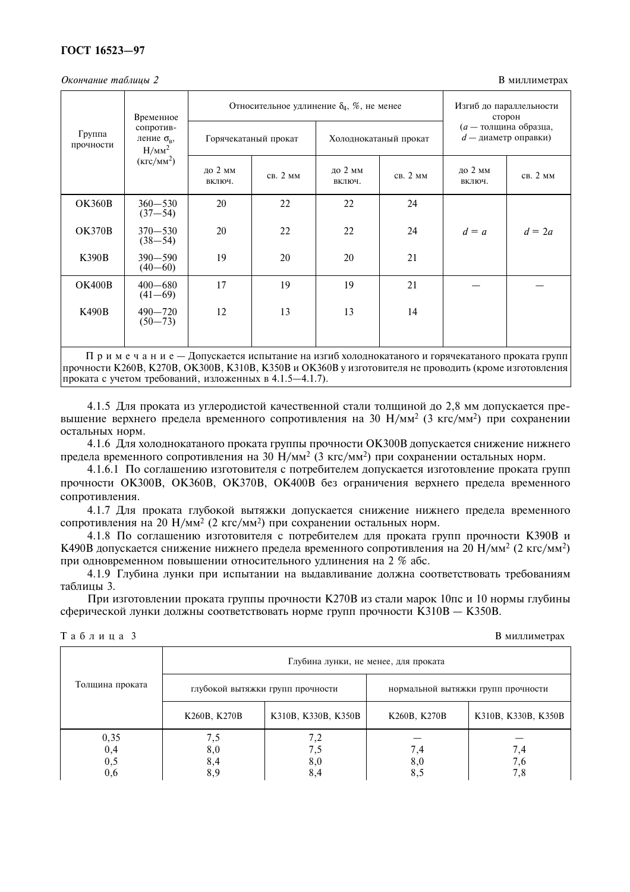### Окончание таблицы 2

В миллиметрах

|                     | Временное                                         | Относительное удлинение $\delta_4$ , %, не менее |          |                       |          | Изгиб до параллельности<br>сторон                       |          |
|---------------------|---------------------------------------------------|--------------------------------------------------|----------|-----------------------|----------|---------------------------------------------------------|----------|
| Группа<br>прочности | сопротив-<br>ление $\sigma_{\rm B}$ ,<br>$H/MM^2$ | Горячекатаный прокат                             |          | Холоднокатаный прокат |          | ( <i>а</i> — толщина образца,<br>$d$ — диаметр оправки) |          |
|                     | (KTC/MM <sup>2</sup> )                            | до 2 мм<br>ВКЛЮЧ.                                | св. 2 мм | до 2 мм<br>ВКЛЮЧ.     | св. 2 мм | до 2 мм<br>ВКЛЮЧ.                                       | св. 2 мм |
| <b>OK360B</b>       | $360 - 530$<br>$(37 - 54)$                        | 20                                               | 22       | 22                    | 24       |                                                         |          |
| <b>OK370B</b>       | $370 - 530$<br>$(38 - 54)$                        | 20                                               | 22       | 22                    | 24       | $d = a$                                                 | $d=2a$   |
| <b>K390B</b>        | $390 - 590$<br>$(40-60)$                          | 19                                               | 20       | 20                    | 21       |                                                         |          |
| <b>OK400B</b>       | $400 - 680$<br>$(41-69)$                          | 17                                               | 19       | 19                    | 21       |                                                         |          |
| <b>K490B</b>        | $490 - 720$<br>$(50 - 73)$                        | 12                                               | 13       | 13                    | 14       |                                                         |          |

Примечание – Допускается испытание на изгиб холоднокатаного и горячекатаного проката групп прочности К260В, К270В, ОК300В, К310В, К350В и ОК360В у изготовителя не проводить (кроме изготовления проката с учетом требований, изложенных в 4.1.5-4.1.7).

4.1.5 Для проката из углеродистой качественной стали толщиной до 2,8 мм допускается превышение верхнего предела временного сопротивления на 30 Н/мм<sup>2</sup> (3 кгс/мм<sup>2</sup>) при сохранении остальных норм.

4.1.6 Для холоднокатаного проката группы прочности ОК300В допускается снижение нижнего предела временного сопротивления на 30 Н/мм<sup>2</sup> (3 кгс/мм<sup>2</sup>) при сохранении остальных норм.

4.1.6.1 По соглашению изготовителя с потребителем допускается изготовление проката групп прочности ОК300В, ОК360В, ОК370В, ОК400В без ограничения верхнего предела временного сопротивления.

4.1.7 Для проката глубокой вытяжки допускается снижение нижнего предела временного сопротивления на 20 Н/мм<sup>2</sup> (2 кгс/мм<sup>2</sup>) при сохранении остальных норм.

4.1.8 По соглашению изготовителя с потребителем для проката групп прочности К390В и К490В допускается снижение нижнего предела временного сопротивления на 20 Н/мм<sup>2</sup> (2 кгс/мм<sup>2</sup>) при одновременном повышении относительного удлинения на 2 % абс.

4.1.9 Глубина лунки при испытании на выдавливание должна соответствовать требованиям таблины 3.

При изготовлении проката группы прочности К270В из стали марок 10пс и 10 нормы глубины сферической лунки должны соответствовать норме групп прочности К310В - К350В.

Таблица 3

В миллиметрах

|                 | Глубина лунки, не менее, для проката |                                  |                                    |                     |  |  |
|-----------------|--------------------------------------|----------------------------------|------------------------------------|---------------------|--|--|
| Толщина проката |                                      | глубокой вытяжки групп прочности | нормальной вытяжки групп прочности |                     |  |  |
|                 | K260B, K270B                         | K310B, K330B, K350B              | K260B, K270B                       | K310B, K330B, K350B |  |  |
| 0,35            | 7,5                                  | 7,2                              |                                    |                     |  |  |
| 0,4             | 8,0                                  | 7.5                              | 7,4                                | 7,4                 |  |  |
| 0,5             | 8,4                                  | 8,0                              | 8,0                                | 7,6                 |  |  |
| 0,6             | 8,9                                  | 8,4                              | 8,5                                | 7,8                 |  |  |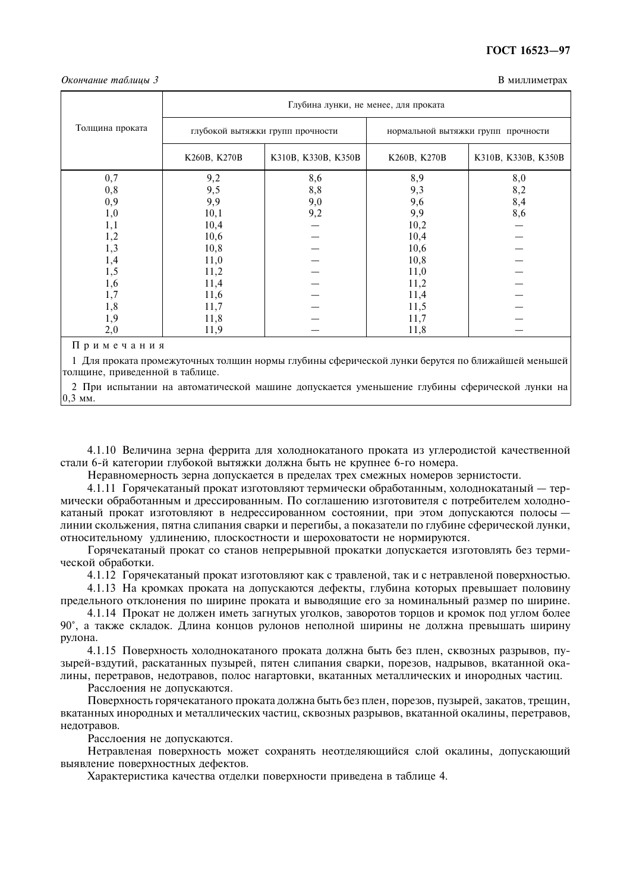## ГОСТ 16523-97

#### Окончание таблииы 3

В миллиметрах

|                 | Глубина лунки, не менее, для проката |                     |              |                                    |  |  |
|-----------------|--------------------------------------|---------------------|--------------|------------------------------------|--|--|
| Толщина проката | глубокой вытяжки групп прочности     |                     |              | нормальной вытяжки групп прочности |  |  |
|                 | K260B, K270B                         | K310B, K330B, K350B | K260B, K270B | K310B, K330B, K350B                |  |  |
| 0,7             | 9,2                                  | 8,6                 | 8,9          | 8,0                                |  |  |
| 0,8             | 9,5                                  | 8,8                 | 9,3          | 8,2                                |  |  |
| 0,9             | 9,9                                  | 9,0                 | 9,6          | 8,4                                |  |  |
| 1,0             | 10,1                                 | 9,2                 | 9,9          | 8,6                                |  |  |
| 1,1             | 10,4                                 |                     | 10,2         |                                    |  |  |
| 1,2             | 10,6                                 |                     | 10,4         |                                    |  |  |
| 1,3             | 10,8                                 |                     | 10,6         |                                    |  |  |
| 1,4             | 11,0                                 |                     | 10,8         |                                    |  |  |
| 1,5             | 11,2                                 |                     | 11,0         |                                    |  |  |
| 1,6             | 11,4                                 |                     | 11,2         |                                    |  |  |
| 1,7             | 11,6                                 |                     | 11,4         |                                    |  |  |
| 1,8             | 11,7                                 |                     | 11,5         |                                    |  |  |
| 1,9             | 11,8                                 |                     | 11,7         |                                    |  |  |
| 2,0             | 11,9                                 |                     | 11,8         |                                    |  |  |

Примечания

1 Для проката промежуточных толшин нормы глубины сферической лунки берутся по ближайшей меньшей толшине. приведенной в таблице.

2 При испытании на автоматической машине допускается уменьшение глубины сферической лунки на  $0.3$  MM.

4.1.10 Величина зерна феррита для холоднокатаного проката из углеродистой качественной стали 6-й категории глубокой вытяжки должна быть не крупнее 6-го номера.

Неравномерность зерна допускается в пределах трех смежных номеров зернистости.

4.1.11 Горячекатаный прокат изготовляют термически обработанным, холоднокатаный — термически обработанным и дрессированным. По соглашению изготовителя с потребителем холоднокатаный прокат изготовляют в недрессированном состоянии, при этом допускаются полосы линии скольжения, пятна слипания сварки и перегибы, а показатели по глубине сферической лунки, относительному удлинению, плоскостности и шероховатости не нормируются.

Горячекатаный прокат со станов непрерывной прокатки допускается изготовлять без термической обработки.

4.1.12 Горячекатаный прокат изготовляют как с травленой, так и с нетравленой поверхностью.

4.1.13 На кромках проката на допускаются дефекты, глубина которых превышает половину предельного отклонения по ширине проката и выводящие его за номинальный размер по ширине.

4.1.14 Прокат не должен иметь загнутых уголков, заворотов торцов и кромок под углом более 90°, а также складок. Длина концов рулонов неполной ширины не должна превышать ширину рулона.

4.1.15 Поверхность холоднокатаного проката должна быть без плен, сквозных разрывов, пузырей-взлутий, раскатанных пузырей, пятен слипания сварки, порезов, налрывов, вкатанной окалины, перетравов, недотравов, полос нагартовки, вкатанных металлических и инородных частиц.

Расслоения не допускаются.

Поверхность горячекатаного проката должна быть без плен, порезов, пузырей, закатов, трещин, вкатанных инородных и металлических частиц, сквозных разрывов, вкатанной окалины, перетравов, нелотравов.

Расслоения не допускаются.

Нетравленая поверхность может сохранять неотделяющийся слой окалины, допускающий выявление поверхностных дефектов.

Характеристика качества отделки поверхности приведена в таблице 4.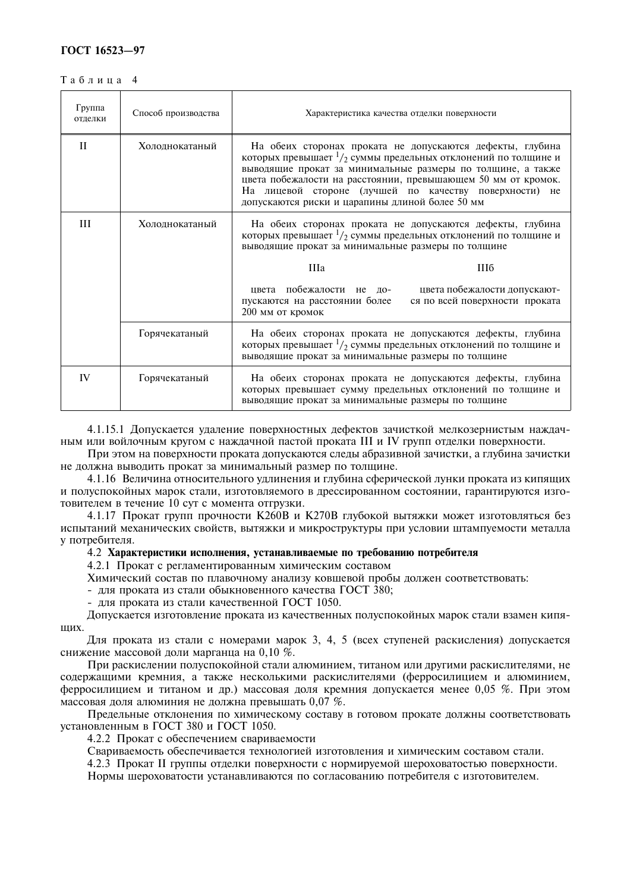# ГОСТ 16523-97

Таблина 4

| Группа<br>отделки | Способ производства | Характеристика качества отделки поверхности                                                                                                                                                                                                                                                                                                                                        |  |  |  |  |
|-------------------|---------------------|------------------------------------------------------------------------------------------------------------------------------------------------------------------------------------------------------------------------------------------------------------------------------------------------------------------------------------------------------------------------------------|--|--|--|--|
| $\mathbf{H}$      | Холоднокатаный      | На обеих сторонах проката не допускаются дефекты, глубина<br>которых превышает $\frac{1}{2}$ суммы предельных отклонений по толщине и<br>выводящие прокат за минимальные размеры по толщине, а также<br>цвета побежалости на расстоянии, превышающем 50 мм от кромок.<br>На лицевой стороне (лучшей по качеству поверхности) не<br>допускаются риски и царапины длиной более 50 мм |  |  |  |  |
| Ш                 | Холоднокатаный      | На обеих сторонах проката не допускаются дефекты, глубина<br>которых превышает $\frac{1}{2}$ суммы предельных отклонений по толщине и<br>выводящие прокат за минимальные размеры по толщине                                                                                                                                                                                        |  |  |  |  |
|                   |                     | <b>IIIa</b><br>Шб                                                                                                                                                                                                                                                                                                                                                                  |  |  |  |  |
|                   |                     | цвета побежалости не до-<br>цвета побежалости допускают-<br>ся по всей поверхности проката<br>пускаются на расстоянии более<br>200 мм от кромок                                                                                                                                                                                                                                    |  |  |  |  |
|                   | Горячекатаный       | На обеих сторонах проката не допускаются дефекты, глубина<br>которых превышает $\frac{1}{2}$ суммы предельных отклонений по толщине и<br>выводящие прокат за минимальные размеры по толщине                                                                                                                                                                                        |  |  |  |  |
| IV                | Горячекатаный       | На обеих сторонах проката не допускаются дефекты, глубина<br>которых превышает сумму предельных отклонений по толщине и<br>выводящие прокат за минимальные размеры по толщине                                                                                                                                                                                                      |  |  |  |  |

4.1.15.1 Допускается удаление поверхностных дефектов зачисткой мелкозернистым наждачным или войлочным кругом с наждачной пастой проката III и IV групп отделки поверхности.

При этом на поверхности проката допускаются следы абразивной зачистки, а глубина зачистки не должна выводить прокат за минимальный размер по толщине.

4.1.16 Величина относительного удлинения и глубина сферической лунки проката из кипяших и полуспокойных марок стали, изготовляемого в дрессированном состоянии, гарантируются изготовителем в течение 10 сут с момента отгрузки.

4.1.17 Прокат групп прочности К260В и К270В глубокой вытяжки может изготовляться без испытаний механических свойств, вытяжки и микроструктуры при условии штампуемости металла у потребителя.

# 4.2 Характеристики исполнения, устанавливаемые по требованию потребителя

4.2.1 Прокат с регламентированным химическим составом

Химический состав по плавочному анализу ковшевой пробы должен соответствовать:

- для проката из стали обыкновенного качества ГОСТ 380;

- для проката из стали качественной ГОСТ 1050.

Допускается изготовление проката из качественных полуспокойных марок стали взамен кипяних.

Для проката из стали с номерами марок 3, 4, 5 (всех ступеней раскисления) допускается снижение массовой доли марганца на 0,10 %.

При раскислении полуспокойной стали алюминием, титаном или другими раскислителями, не содержащими кремния, а также несколькими раскислителями (ферросилицием и алюминием, ферросилицием и титаном и др.) массовая доля кремния допускается менее 0,05 %. При этом массовая доля алюминия не должна превышать 0.07 %.

Прелельные отклонения по химическому составу в готовом прокате лолжны соответствовать установленным в ГОСТ 380 и ГОСТ 1050.

4.2.2 Прокат с обеспечением свариваемости

Свариваемость обеспечивается технологией изготовления и химическим составом стали.

4.2.3 Прокат II группы отделки поверхности с нормируемой шероховатостью поверхности.

Нормы шероховатости устанавливаются по согласованию потребителя с изготовителем.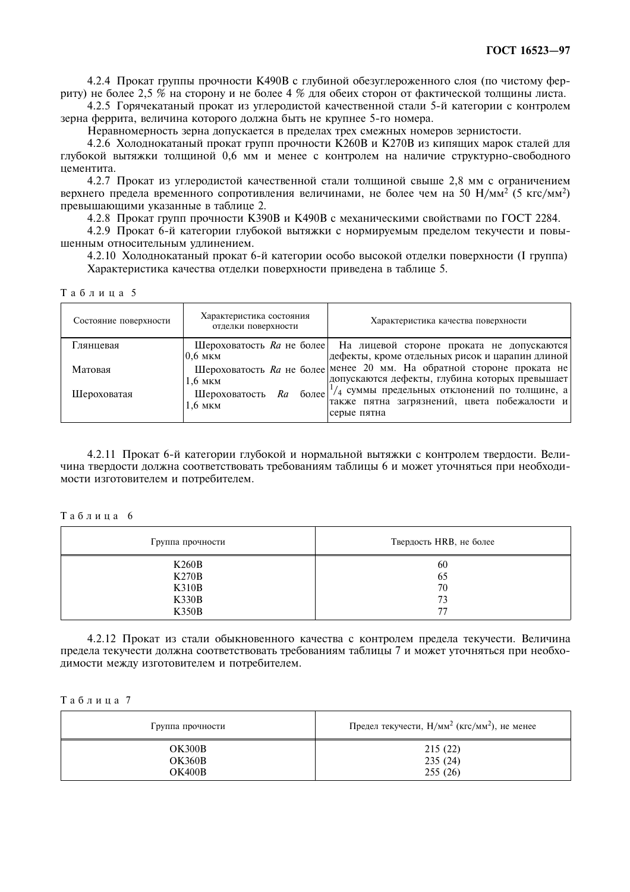4.2.4 Прокат группы прочности К490В с глубиной обезуглероженного слоя (по чистому ферриту) не более 2,5 % на сторону и не более 4 % для обеих сторон от фактической толщины листа.

4.2.5 Горячекатаный прокат из углеродистой качественной стали 5-й категории с контролем зерна феррита, величина которого должна быть не крупнее 5-го номера.

Неравномерность зерна допускается в пределах трех смежных номеров зернистости.

4.2.6 Холоднокатаный прокат групп прочности К260В и К270В из кипящих марок сталей для глубокой вытяжки толщиной 0,6 мм и менее с контролем на наличие структурно-свободного цементита.

4.2.7 Прокат из углеродистой качественной стали толшиной свыше 2.8 мм с ограничением верхнего предела временного сопротивления величинами, не более чем на 50 H/мм<sup>2</sup> (5 кгс/мм<sup>2</sup>) превышающими указанные в таблице 2.

4.2.8 Прокат групп прочности КЗ90В и К490В с механическими свойствами по ГОСТ 2284.

4.2.9 Прокат 6-й категории глубокой вытяжки с нормируемым пределом текучести и повышенным относительным удлинением.

4.2.10 Холоднокатаный прокат 6-й категории особо высокой отделки поверхности (I группа) Характеристика качества отделки поверхности приведена в таблице 5.

Таблина 5

| Состояние поверхности | Характеристика состояния<br>отделки поверхности | Характеристика качества поверхности                                                                                                     |
|-----------------------|-------------------------------------------------|-----------------------------------------------------------------------------------------------------------------------------------------|
| Глянцевая             | $0.6$ MKM                                       | Шероховатость Ra не более   На лицевой стороне проката не допускаются<br>дефекты, кроме отдельных рисок и царапин длиной                |
| Матовая               | $1,6$ MKM                                       | Шероховатость $Ra$ не более менее 20 мм. На обратной стороне проката не<br>допускаются дефекты, глубина которых превышает               |
| Шероховатая           | Шероховатость<br>Ra<br>$1.6$ MKM                | $60\text{mee}$ <sup>1/</sup> 4 суммы предельных отклонений по толщине, а<br>также пятна загрязнений, цвета побежалости и<br>серые пятна |

4.2.11 Прокат 6-й категории глубокой и нормальной вытяжки с контролем твердости. Величина твердости должна соответствовать требованиям таблицы 6 и может уточняться при необходимости изготовителем и потребителем.

Таблина 6

| Группа прочности | Твердость HRB, не более |
|------------------|-------------------------|
| <b>K260B</b>     | 60                      |
| K270B            | 65                      |
| <b>K310B</b>     | 70                      |
| <b>K330B</b>     | 73                      |
| K350B            | 77                      |

4.2.12 Прокат из стали обыкновенного качества с контролем предела текучести. Величина предела текучести должна соответствовать требованиям таблицы 7 и может уточняться при необходимости между изготовителем и потребителем.

Таблица 7

| Группа прочности | Предел текучести, $H/MM^2$ (кгс/мм <sup>2</sup> ), не менее |
|------------------|-------------------------------------------------------------|
| <b>OK300B</b>    | 215(22)                                                     |
| <b>OK360B</b>    | 235(24)                                                     |
| <b>OK400B</b>    | 255(26)                                                     |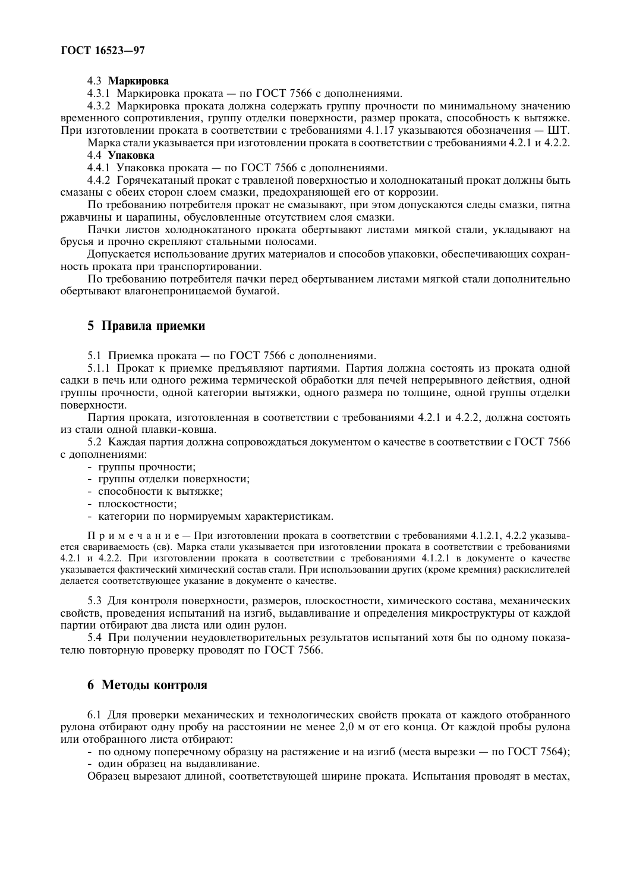### 4.3 Маркировка

4.3.1 Маркировка проката — по ГОСТ 7566 с дополнениями.

4.3.2 Маркировка проката должна содержать группу прочности по минимальному значению временного сопротивления, группу отделки поверхности, размер проката, способность к вытяжке. При изготовлении проката в соответствии с требованиями 4.1.17 указываются обозначения - ШТ.

Марка стали указывается при изготовлении проката в соответствии с требованиями 4.2.1 и 4.2.2.

# 4.4 Упаковка

4.4.1 Упаковка проката - по ГОСТ 7566 с дополнениями.

4.4.2 Горячекатаный прокат с травленой поверхностью и холоднокатаный прокат должны быть смазаны с обеих сторон слоем смазки, предохраняющей его от коррозии.

По требованию потребителя прокат не смазывают, при этом допускаются следы смазки, пятна ржавчины и царапины, обусловленные отсутствием слоя смазки.

Пачки листов холоднокатаного проката обертывают листами мягкой стали, укладывают на брусья и прочно скрепляют стальными полосами.

Допускается использование других материалов и способов упаковки, обеспечивающих сохранность проката при транспортировании.

По требованию потребителя пачки перед обертыванием листами мягкой стали дополнительно обертывают влагонепроницаемой бумагой.

# 5 Правила приемки

5.1 Приемка проката — по ГОСТ 7566 с дополнениями.

5.1.1 Прокат к приемке предъявляют партиями. Партия должна состоять из проката одной салки в печь или одного режима термической обработки для печей непрерывного действия, одной группы прочности, одной категории вытяжки, одного размера по толщине, одной группы отделки поверхности.

Партия проката, изготовленная в соответствии с требованиями 4.2.1 и 4.2.2, должна состоять из стали одной плавки-ковша.

5.2 Каждая партия должна сопровождаться документом о качестве в соответствии с ГОСТ 7566 с дополнениями:

- группы прочности;
- группы отделки поверхности;
- способности к вытяжке;
- плоскостности;
- категории по нормируемым характеристикам.

Примечание - Приизготовлении проката в соответствии с требованиями 4.1.2.1, 4.2.2 указывается свариваемость (св). Марка стали указывается при изготовлении проката в соответствии с требованиями 4.2.1 и 4.2.2. При изготовлении проката в соответствии с требованиями 4.1.2.1 в документе о качестве указывается фактический химический состав стали. При использовании других (кроме кремния) раскислителей делается соответствующее указание в документе о качестве.

5.3 Для контроля поверхности, размеров, плоскостности, химического состава, механических свойств, проведения испытаний на изгиб, выдавливание и определения микроструктуры от каждой партии отбирают два листа или один рулон.

5.4 При получении неудовлетворительных результатов испытаний хотя бы по одному показателю повторную проверку проводят по ГОСТ 7566.

# 6 Методы контроля

6.1 Для проверки механических и технологических свойств проката от каждого отобранного рулона отбирают одну пробу на расстоянии не менее 2,0 м от его конца. От каждой пробы рулона или отобранного листа отбирают:

- по одному поперечному образцу на растяжение и на изгиб (места вырезки — по ГОСТ 7564); - один образец на выдавливание.

Образец вырезают длиной, соответствующей ширине проката. Испытания проводят в местах,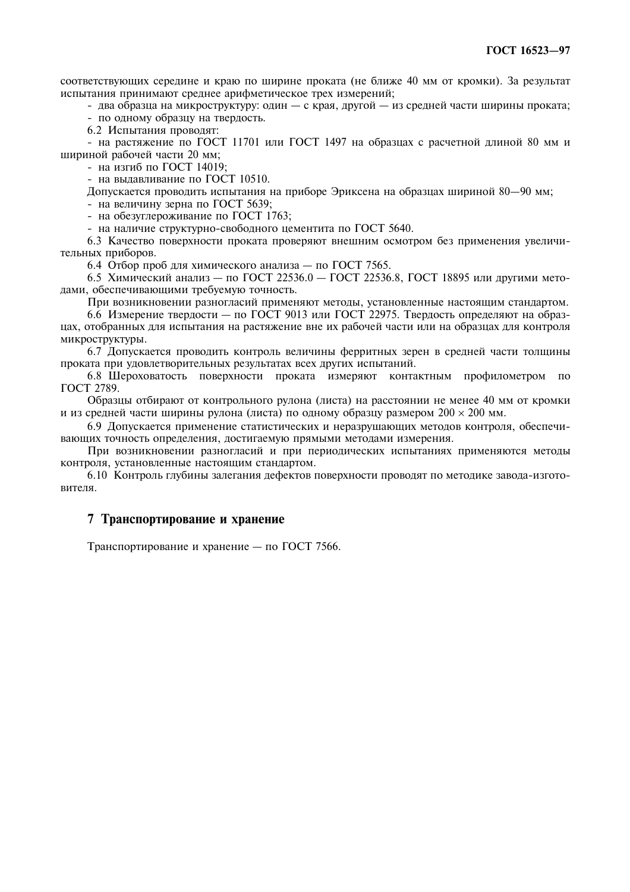соответствующих середине и краю по ширине проката (не ближе 40 мм от кромки). За результат испытания принимают среднее арифметическое трех измерений;

- два образца на микроструктуру: один — с края, другой — из средней части ширины проката; по одному образцу на твердость.

6.2 Испытания проводят:

- на растяжение по ГОСТ 11701 или ГОСТ 1497 на образцах с расчетной длиной 80 мм и шириной рабочей части 20 мм;

- на изгиб по ГОСТ 14019:

- на вылавливание по ГОСТ  $10510$ .

Допускается проводить испытания на приборе Эриксена на образцах шириной 80-90 мм; - на величину зерна по ГОСТ 5639;

- на обезуглероживание по ГОСТ 1763;

- на наличие структурно-свободного цементита по ГОСТ 5640.

6.3 Качество поверхности проката проверяют внешним осмотром без применения увеличительных приборов.

6.4 Отбор проб для химического анализа - по ГОСТ 7565.

6.5 Химический анализ - по ГОСТ 22536.0 - ГОСТ 22536.8, ГОСТ 18895 или другими методами, обеспечивающими требуемую точность.

При возникновении разногласий применяют методы, установленные настоящим стандартом.

6.6 Измерение твердости — по ГОСТ 9013 или ГОСТ 22975. Твердость определяют на образцах, отобранных для испытания на растяжение вне их рабочей части или на образцах для контроля микроструктуры.

6.7 Допускается проводить контроль величины ферритных зерен в средней части толщины проката при удовлетворительных результатах всех других испытаний.

6.8 Шероховатость поверхности проката измеряют контактным профилометром по **ГОСТ 2789.** 

Образцы отбирают от контрольного рулона (листа) на расстоянии не менее 40 мм от кромки и из средней части ширины рулона (листа) по одному образцу размером 200  $\times$  200 мм.

6.9 Лопускается применение статистических и неразрушающих методов контроля, обеспечивающих точность определения, достигаемую прямыми методами измерения.

При возникновении разногласий и при периодических испытаниях применяются методы контроля, установленные настоящим стандартом.

6.10 Контроль глубины залегания дефектов поверхности проводят по методике завода-изготовителя.

# 7 Транспортирование и хранение

Транспортирование и хранение — по ГОСТ 7566.